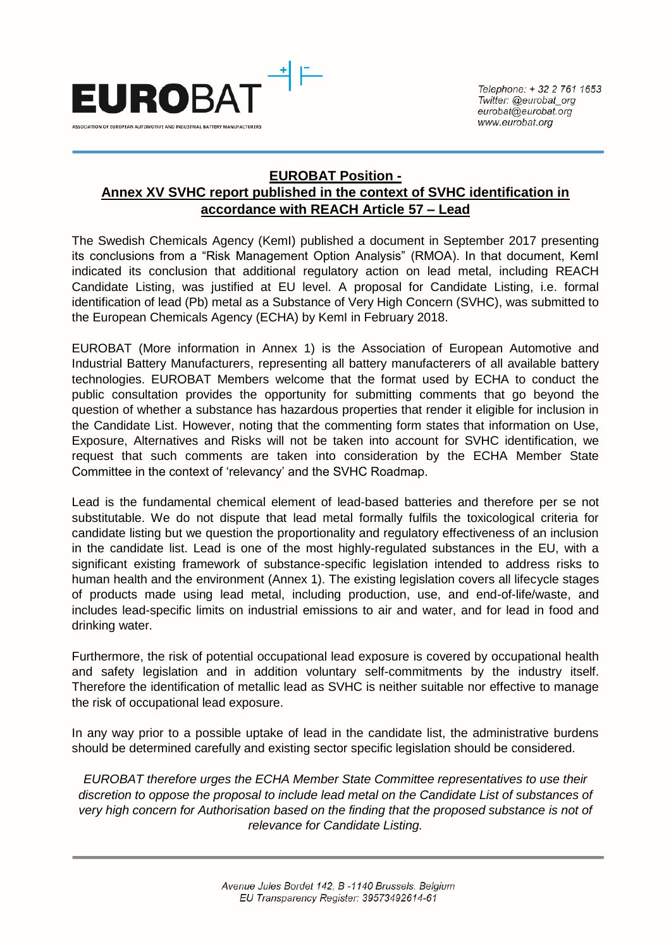

## **EUROBAT Position - Annex XV SVHC report published in the context of SVHC identification in accordance with REACH Article 57 – Lead**

The Swedish Chemicals Agency (KemI) published a document in September 2017 presenting its conclusions from a "Risk Management Option Analysis" (RMOA). In that document, KemI indicated its conclusion that additional regulatory action on lead metal, including REACH Candidate Listing, was justified at EU level. A proposal for Candidate Listing, i.e. formal identification of lead (Pb) metal as a Substance of Very High Concern (SVHC), was submitted to the European Chemicals Agency (ECHA) by KemI in February 2018.

EUROBAT (More information in Annex 1) is the Association of European Automotive and Industrial Battery Manufacturers, representing all battery manufacterers of all available battery technologies. EUROBAT Members welcome that the format used by ECHA to conduct the public consultation provides the opportunity for submitting comments that go beyond the question of whether a substance has hazardous properties that render it eligible for inclusion in the Candidate List. However, noting that the commenting form states that information on Use, Exposure, Alternatives and Risks will not be taken into account for SVHC identification, we request that such comments are taken into consideration by the ECHA Member State Committee in the context of 'relevancy' and the SVHC Roadmap.

Lead is the fundamental chemical element of lead-based batteries and therefore per se not substitutable. We do not dispute that lead metal formally fulfils the toxicological criteria for candidate listing but we question the proportionality and regulatory effectiveness of an inclusion in the candidate list. Lead is one of the most highly-regulated substances in the EU, with a significant existing framework of substance-specific legislation intended to address risks to human health and the environment (Annex 1). The existing legislation covers all lifecycle stages of products made using lead metal, including production, use, and end-of-life/waste, and includes lead-specific limits on industrial emissions to air and water, and for lead in food and drinking water.

Furthermore, the risk of potential occupational lead exposure is covered by occupational health and safety legislation and in addition voluntary self-commitments by the industry itself. Therefore the identification of metallic lead as SVHC is neither suitable nor effective to manage the risk of occupational lead exposure.

In any way prior to a possible uptake of lead in the candidate list, the administrative burdens should be determined carefully and existing sector specific legislation should be considered.

*EUROBAT therefore urges the ECHA Member State Committee representatives to use their discretion to oppose the proposal to include lead metal on the Candidate List of substances of very high concern for Authorisation based on the finding that the proposed substance is not of relevance for Candidate Listing.*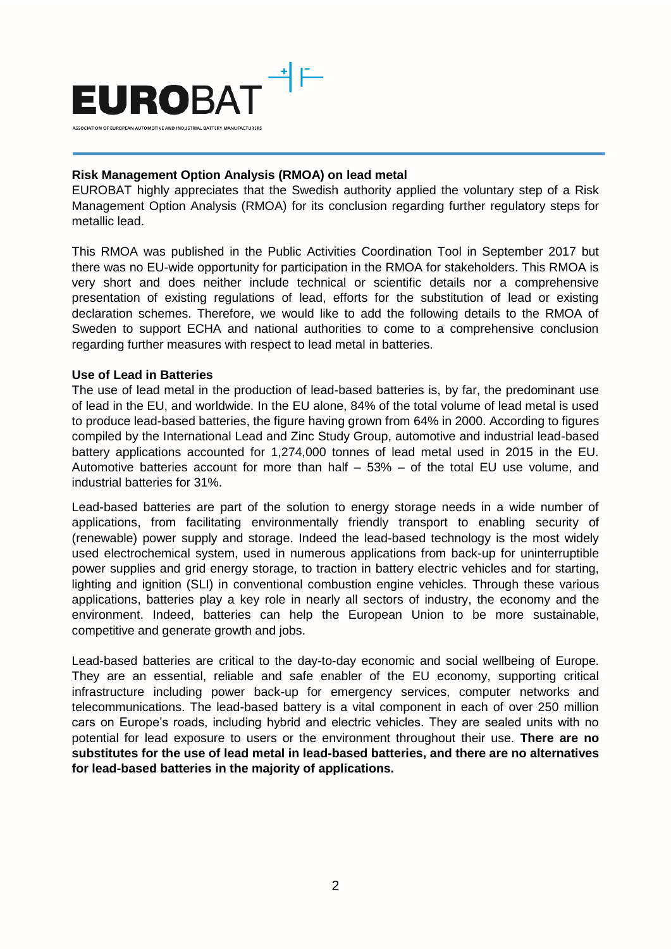

## **Risk Management Option Analysis (RMOA) on lead metal**

EUROBAT highly appreciates that the Swedish authority applied the voluntary step of a Risk Management Option Analysis (RMOA) for its conclusion regarding further regulatory steps for metallic lead.

This RMOA was published in the Public Activities Coordination Tool in September 2017 but there was no EU-wide opportunity for participation in the RMOA for stakeholders. This RMOA is very short and does neither include technical or scientific details nor a comprehensive presentation of existing regulations of lead, efforts for the substitution of lead or existing declaration schemes. Therefore, we would like to add the following details to the RMOA of Sweden to support ECHA and national authorities to come to a comprehensive conclusion regarding further measures with respect to lead metal in batteries.

## **Use of Lead in Batteries**

The use of lead metal in the production of lead-based batteries is, by far, the predominant use of lead in the EU, and worldwide. In the EU alone, 84% of the total volume of lead metal is used to produce lead-based batteries, the figure having grown from 64% in 2000. According to figures compiled by the International Lead and Zinc Study Group, automotive and industrial lead-based battery applications accounted for 1,274,000 tonnes of lead metal used in 2015 in the EU. Automotive batteries account for more than half – 53% – of the total EU use volume, and industrial batteries for 31%.

Lead-based batteries are part of the solution to energy storage needs in a wide number of applications, from facilitating environmentally friendly transport to enabling security of (renewable) power supply and storage. Indeed the lead-based technology is the most widely used electrochemical system, used in numerous applications from back-up for uninterruptible power supplies and grid energy storage, to traction in battery electric vehicles and for starting, lighting and ignition (SLI) in conventional combustion engine vehicles. Through these various applications, batteries play a key role in nearly all sectors of industry, the economy and the environment. Indeed, batteries can help the European Union to be more sustainable, competitive and generate growth and jobs.

Lead-based batteries are critical to the day-to-day economic and social wellbeing of Europe. They are an essential, reliable and safe enabler of the EU economy, supporting critical infrastructure including power back-up for emergency services, computer networks and telecommunications. The lead-based battery is a vital component in each of over 250 million cars on Europe's roads, including hybrid and electric vehicles. They are sealed units with no potential for lead exposure to users or the environment throughout their use. **There are no substitutes for the use of lead metal in lead-based batteries, and there are no alternatives for lead-based batteries in the majority of applications.**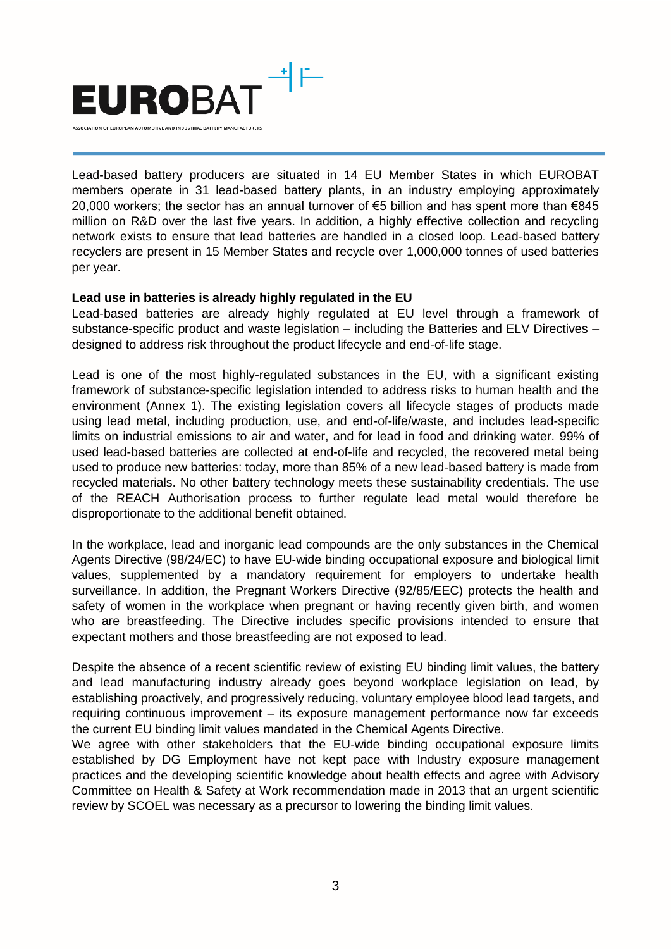

Lead-based battery producers are situated in 14 EU Member States in which EUROBAT members operate in 31 lead-based battery plants, in an industry employing approximately 20,000 workers; the sector has an annual turnover of €5 billion and has spent more than €845 million on R&D over the last five years. In addition, a highly effective collection and recycling network exists to ensure that lead batteries are handled in a closed loop. Lead-based battery recyclers are present in 15 Member States and recycle over 1,000,000 tonnes of used batteries per year.

## **Lead use in batteries is already highly regulated in the EU**

Lead-based batteries are already highly regulated at EU level through a framework of substance-specific product and waste legislation – including the Batteries and ELV Directives – designed to address risk throughout the product lifecycle and end-of-life stage.

Lead is one of the most highly-regulated substances in the EU, with a significant existing framework of substance-specific legislation intended to address risks to human health and the environment (Annex 1). The existing legislation covers all lifecycle stages of products made using lead metal, including production, use, and end-of-life/waste, and includes lead-specific limits on industrial emissions to air and water, and for lead in food and drinking water. 99% of used lead-based batteries are collected at end-of-life and recycled, the recovered metal being used to produce new batteries: today, more than 85% of a new lead-based battery is made from recycled materials. No other battery technology meets these sustainability credentials. The use of the REACH Authorisation process to further regulate lead metal would therefore be disproportionate to the additional benefit obtained.

In the workplace, lead and inorganic lead compounds are the only substances in the Chemical Agents Directive (98/24/EC) to have EU-wide binding occupational exposure and biological limit values, supplemented by a mandatory requirement for employers to undertake health surveillance. In addition, the Pregnant Workers Directive (92/85/EEC) protects the health and safety of women in the workplace when pregnant or having recently given birth, and women who are breastfeeding. The Directive includes specific provisions intended to ensure that expectant mothers and those breastfeeding are not exposed to lead.

Despite the absence of a recent scientific review of existing EU binding limit values, the battery and lead manufacturing industry already goes beyond workplace legislation on lead, by establishing proactively, and progressively reducing, voluntary employee blood lead targets, and requiring continuous improvement – its exposure management performance now far exceeds the current EU binding limit values mandated in the Chemical Agents Directive.

We agree with other stakeholders that the EU-wide binding occupational exposure limits established by DG Employment have not kept pace with Industry exposure management practices and the developing scientific knowledge about health effects and agree with Advisory Committee on Health & Safety at Work recommendation made in 2013 that an urgent scientific review by SCOEL was necessary as a precursor to lowering the binding limit values.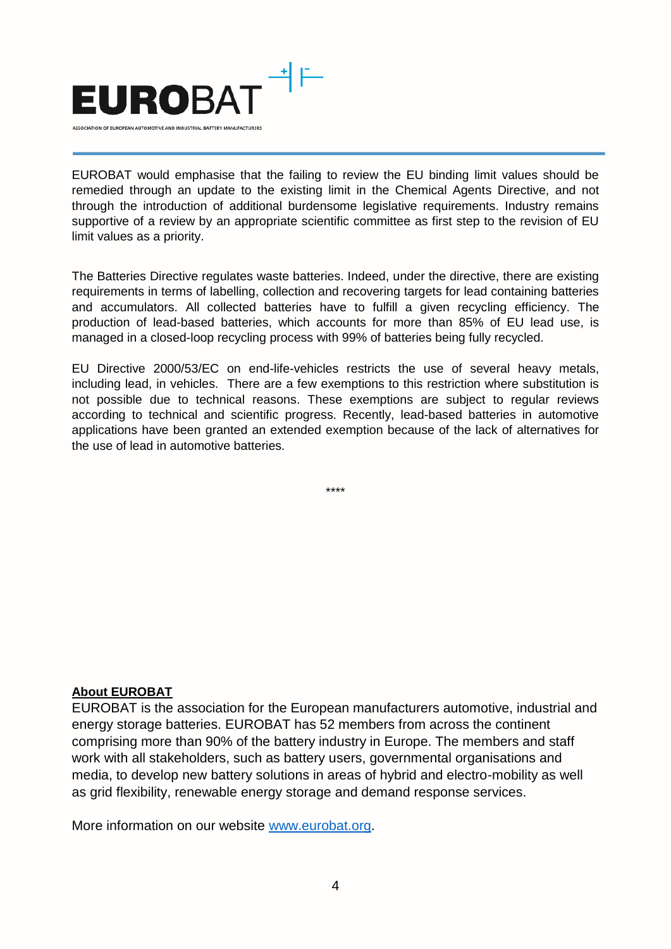

EUROBAT would emphasise that the failing to review the EU binding limit values should be remedied through an update to the existing limit in the Chemical Agents Directive, and not through the introduction of additional burdensome legislative requirements. Industry remains supportive of a review by an appropriate scientific committee as first step to the revision of EU limit values as a priority.

The Batteries Directive regulates waste batteries. Indeed, under the directive, there are existing requirements in terms of labelling, collection and recovering targets for lead containing batteries and accumulators. All collected batteries have to fulfill a given recycling efficiency. The production of lead-based batteries, which accounts for more than 85% of EU lead use, is managed in a closed-loop recycling process with 99% of batteries being fully recycled.

EU Directive 2000/53/EC on end-life-vehicles restricts the use of several heavy metals, including lead, in vehicles. There are a few exemptions to this restriction where substitution is not possible due to technical reasons. These exemptions are subject to regular reviews according to technical and scientific progress. Recently, lead-based batteries in automotive applications have been granted an extended exemption because of the lack of alternatives for the use of lead in automotive batteries.

\*\*\*\*

## **About EUROBAT**

EUROBAT is the association for the European manufacturers automotive, industrial and energy storage batteries. EUROBAT has 52 members from across the continent comprising more than 90% of the battery industry in Europe. The members and staff work with all stakeholders, such as battery users, governmental organisations and media, to develop new battery solutions in areas of hybrid and electro-mobility as well as grid flexibility, renewable energy storage and demand response services.

More information on our website [www.eurobat.org.](http://www.eurobat.org/)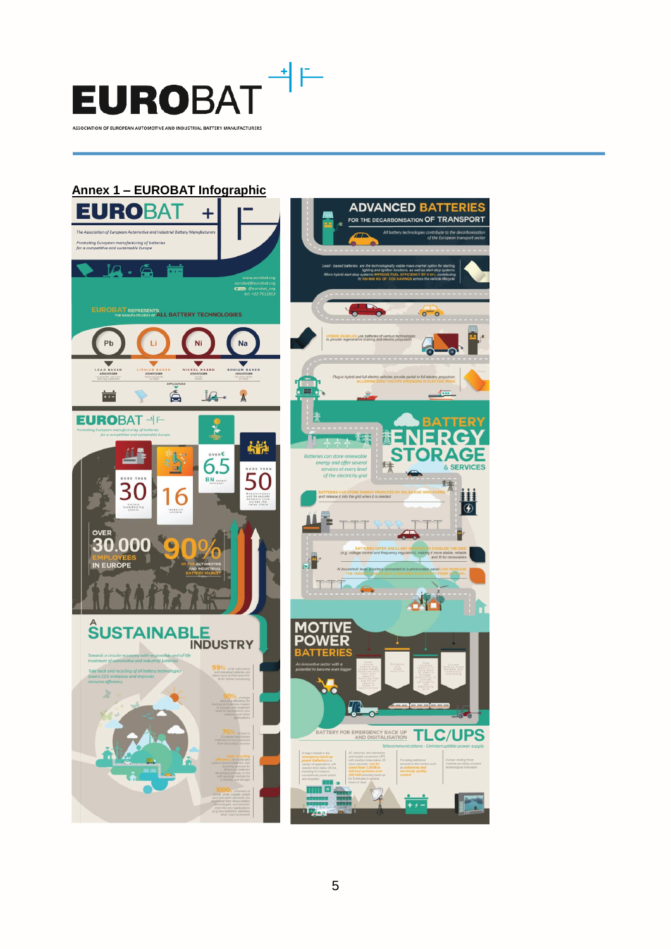

## **Annex 1 – EUROBAT Infographic**

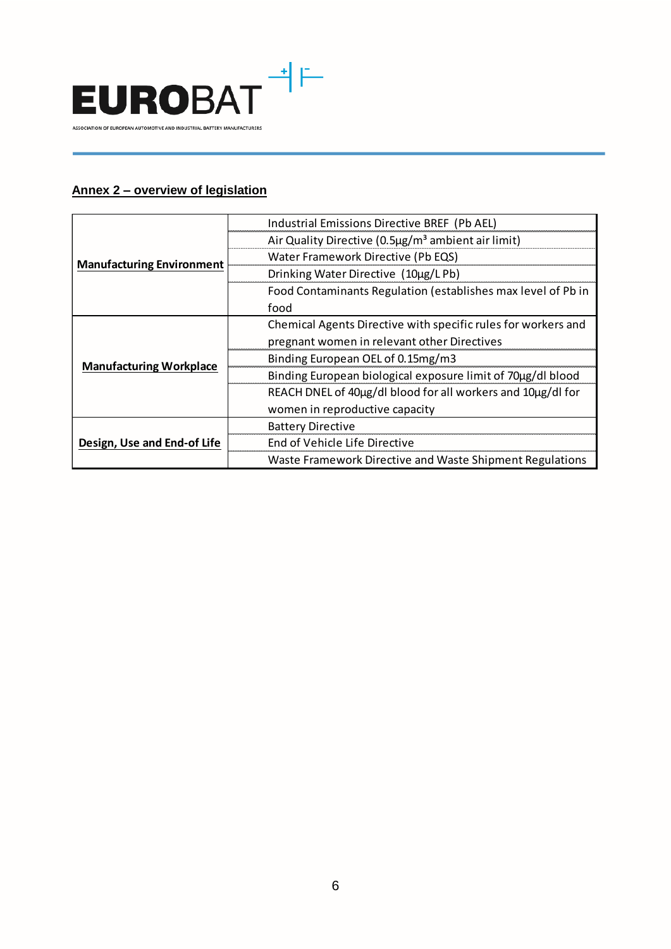

## **Annex 2 – overview of legislation**

| <b>Manufacturing Environment</b> | Industrial Emissions Directive BREF (Pb AEL)                   |
|----------------------------------|----------------------------------------------------------------|
|                                  | Air Quality Directive (0.5µg/m <sup>3</sup> ambient air limit) |
|                                  | Water Framework Directive (Pb EQS)                             |
|                                  | Drinking Water Directive (10µg/LPb)                            |
|                                  | Food Contaminants Regulation (establishes max level of Pb in   |
|                                  | food                                                           |
| <b>Manufacturing Workplace</b>   | Chemical Agents Directive with specific rules for workers and  |
|                                  | pregnant women in relevant other Directives                    |
|                                  | Binding European OEL of 0.15mg/m3                              |
|                                  | Binding European biological exposure limit of 70µg/dl blood    |
|                                  | REACH DNEL of 40µg/dl blood for all workers and 10µg/dl for    |
|                                  | women in reproductive capacity                                 |
| Design, Use and End-of Life      | <b>Battery Directive</b>                                       |
|                                  | End of Vehicle Life Directive                                  |
|                                  | Waste Framework Directive and Waste Shipment Regulations       |